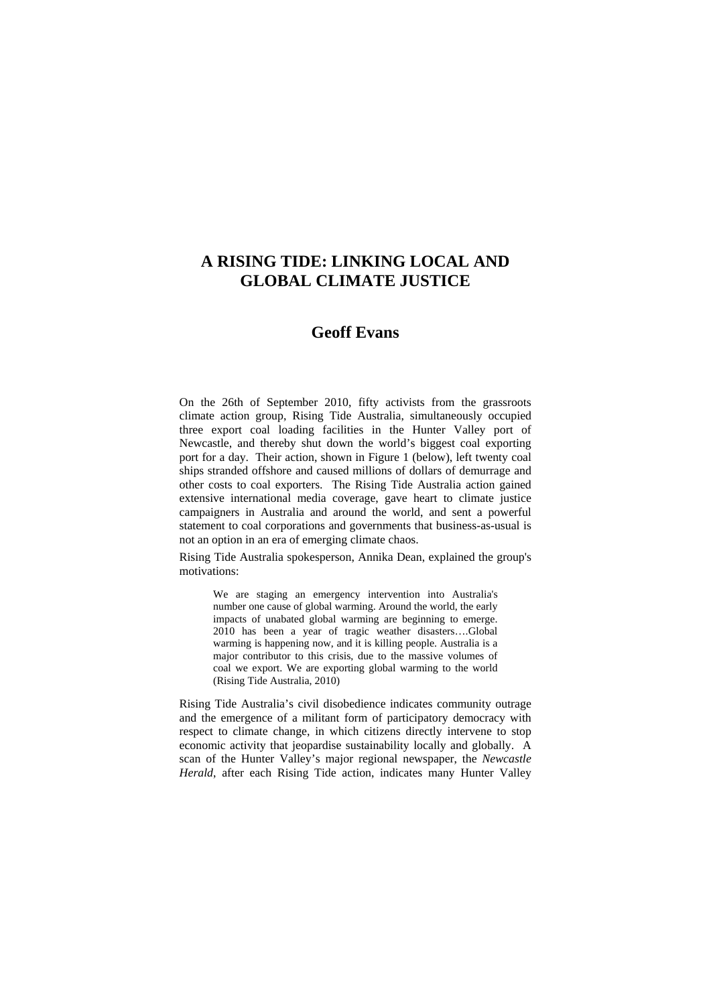# **A RISING TIDE: LINKING LOCAL AND GLOBAL CLIMATE JUSTICE**

## **Geoff Evans**

On the 26th of September 2010, fifty activists from the grassroots climate action group, Rising Tide Australia, simultaneously occupied three export coal loading facilities in the Hunter Valley port of Newcastle, and thereby shut down the world's biggest coal exporting port for a day. Their action, shown in Figure 1 (below), left twenty coal ships stranded offshore and caused millions of dollars of demurrage and other costs to coal exporters. The Rising Tide Australia action gained extensive international media coverage, gave heart to climate justice campaigners in Australia and around the world, and sent a powerful statement to coal corporations and governments that business-as-usual is not an option in an era of emerging climate chaos.

Rising Tide Australia spokesperson, Annika Dean, explained the group's motivations:

We are staging an emergency intervention into Australia's number one cause of global warming. Around the world, the early impacts of unabated global warming are beginning to emerge. 2010 has been a year of tragic weather disasters….Global warming is happening now, and it is killing people. Australia is a major contributor to this crisis, due to the massive volumes of coal we export. We are exporting global warming to the world (Rising Tide Australia, 2010)

Rising Tide Australia's civil disobedience indicates community outrage and the emergence of a militant form of participatory democracy with respect to climate change, in which citizens directly intervene to stop economic activity that jeopardise sustainability locally and globally. A scan of the Hunter Valley's major regional newspaper, the *Newcastle Herald*, after each Rising Tide action, indicates many Hunter Valley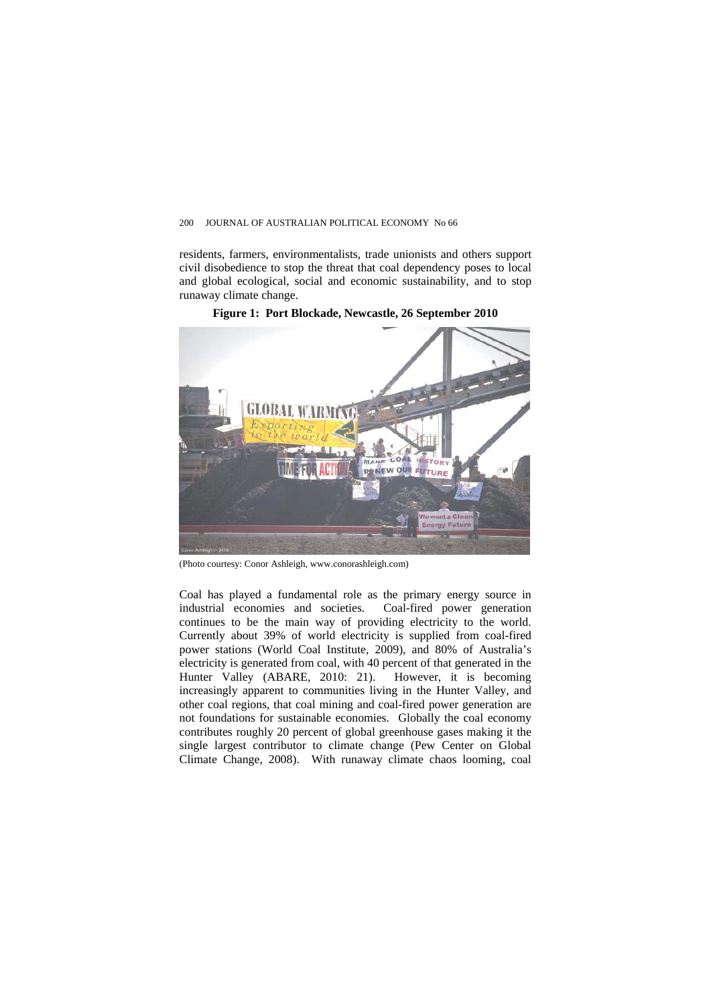residents, farmers, environmentalists, trade unionists and others support civil disobedience to stop the threat that coal dependency poses to local and global ecological, social and economic sustainability, and to stop runaway climate change.



**Figure 1: Port Blockade, Newcastle, 26 September 2010** 

(Photo courtesy: Conor Ashleigh, www.conorashleigh.com)

Coal has played a fundamental role as the primary energy source in industrial economies and societies. Coal-fired power generation continues to be the main way of providing electricity to the world. Currently about 39% of world electricity is supplied from coal-fired power stations (World Coal Institute, 2009), and 80% of Australia's electricity is generated from coal, with 40 percent of that generated in the Hunter Valley (ABARE, 2010: 21). However, it is becoming increasingly apparent to communities living in the Hunter Valley, and other coal regions, that coal mining and coal-fired power generation are not foundations for sustainable economies. Globally the coal economy contributes roughly 20 percent of global greenhouse gases making it the single largest contributor to climate change (Pew Center on Global Climate Change, 2008). With runaway climate chaos looming, coal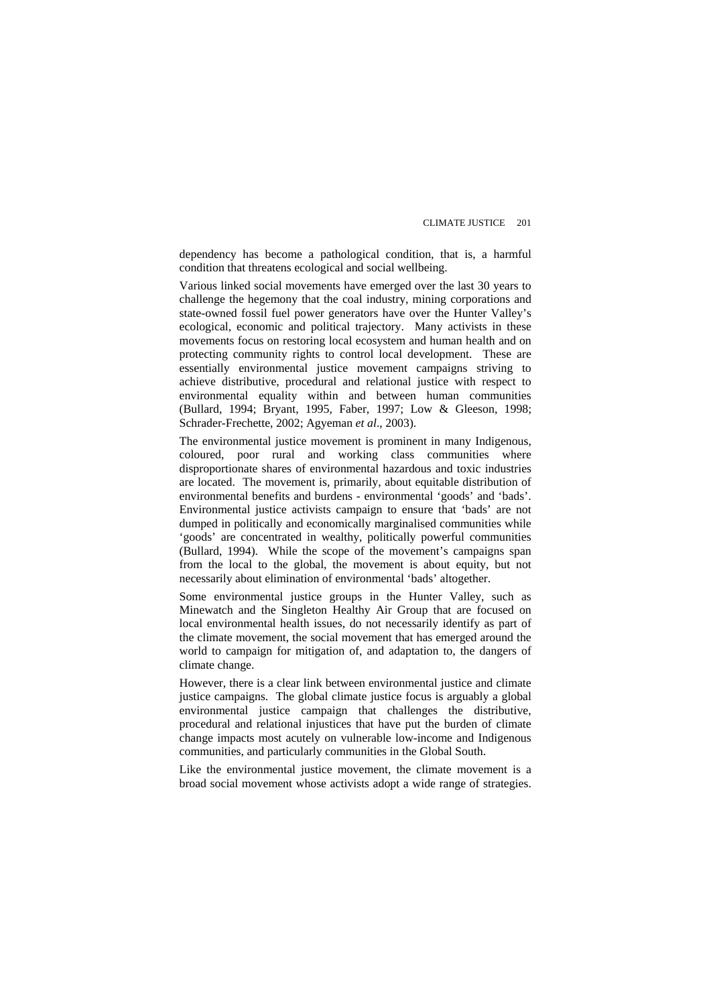dependency has become a pathological condition, that is, a harmful condition that threatens ecological and social wellbeing.

Various linked social movements have emerged over the last 30 years to challenge the hegemony that the coal industry, mining corporations and state-owned fossil fuel power generators have over the Hunter Valley's ecological, economic and political trajectory. Many activists in these movements focus on restoring local ecosystem and human health and on protecting community rights to control local development. These are essentially environmental justice movement campaigns striving to achieve distributive, procedural and relational justice with respect to environmental equality within and between human communities (Bullard, 1994; Bryant, 1995, Faber, 1997; Low & Gleeson, 1998; Schrader-Frechette, 2002; Agyeman *et al*., 2003).

The environmental justice movement is prominent in many Indigenous, coloured, poor rural and working class communities where disproportionate shares of environmental hazardous and toxic industries are located. The movement is, primarily, about equitable distribution of environmental benefits and burdens - environmental 'goods' and 'bads'. Environmental justice activists campaign to ensure that 'bads' are not dumped in politically and economically marginalised communities while 'goods' are concentrated in wealthy, politically powerful communities (Bullard, 1994). While the scope of the movement's campaigns span from the local to the global, the movement is about equity, but not necessarily about elimination of environmental 'bads' altogether.

Some environmental justice groups in the Hunter Valley, such as Minewatch and the Singleton Healthy Air Group that are focused on local environmental health issues, do not necessarily identify as part of the climate movement, the social movement that has emerged around the world to campaign for mitigation of, and adaptation to, the dangers of climate change.

However, there is a clear link between environmental justice and climate justice campaigns. The global climate justice focus is arguably a global environmental justice campaign that challenges the distributive, procedural and relational injustices that have put the burden of climate change impacts most acutely on vulnerable low-income and Indigenous communities, and particularly communities in the Global South.

Like the environmental justice movement, the climate movement is a broad social movement whose activists adopt a wide range of strategies.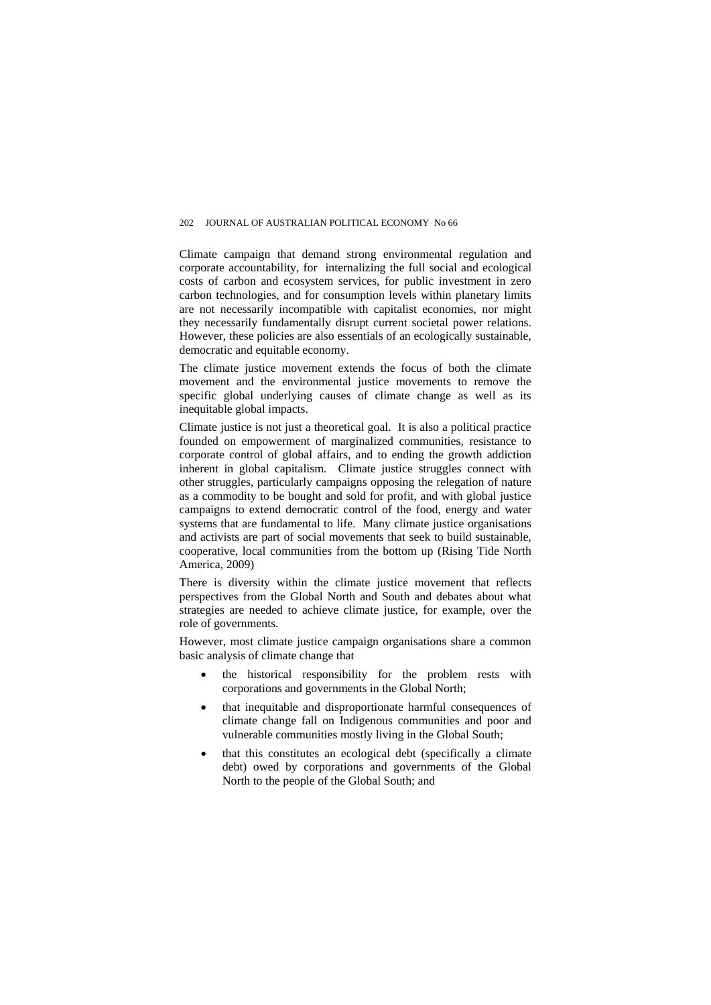Climate campaign that demand strong environmental regulation and corporate accountability, for internalizing the full social and ecological costs of carbon and ecosystem services, for public investment in zero carbon technologies, and for consumption levels within planetary limits are not necessarily incompatible with capitalist economies, nor might they necessarily fundamentally disrupt current societal power relations. However, these policies are also essentials of an ecologically sustainable, democratic and equitable economy.

The climate justice movement extends the focus of both the climate movement and the environmental justice movements to remove the specific global underlying causes of climate change as well as its inequitable global impacts.

Climate justice is not just a theoretical goal. It is also a political practice founded on empowerment of marginalized communities, resistance to corporate control of global affairs, and to ending the growth addiction inherent in global capitalism. Climate justice struggles connect with other struggles, particularly campaigns opposing the relegation of nature as a commodity to be bought and sold for profit, and with global justice campaigns to extend democratic control of the food, energy and water systems that are fundamental to life. Many climate justice organisations and activists are part of social movements that seek to build sustainable, cooperative, local communities from the bottom up (Rising Tide North America, 2009)

There is diversity within the climate justice movement that reflects perspectives from the Global North and South and debates about what strategies are needed to achieve climate justice, for example, over the role of governments.

However, most climate justice campaign organisations share a common basic analysis of climate change that

- the historical responsibility for the problem rests with corporations and governments in the Global North;
- that inequitable and disproportionate harmful consequences of climate change fall on Indigenous communities and poor and vulnerable communities mostly living in the Global South;
- that this constitutes an ecological debt (specifically a climate debt) owed by corporations and governments of the Global North to the people of the Global South; and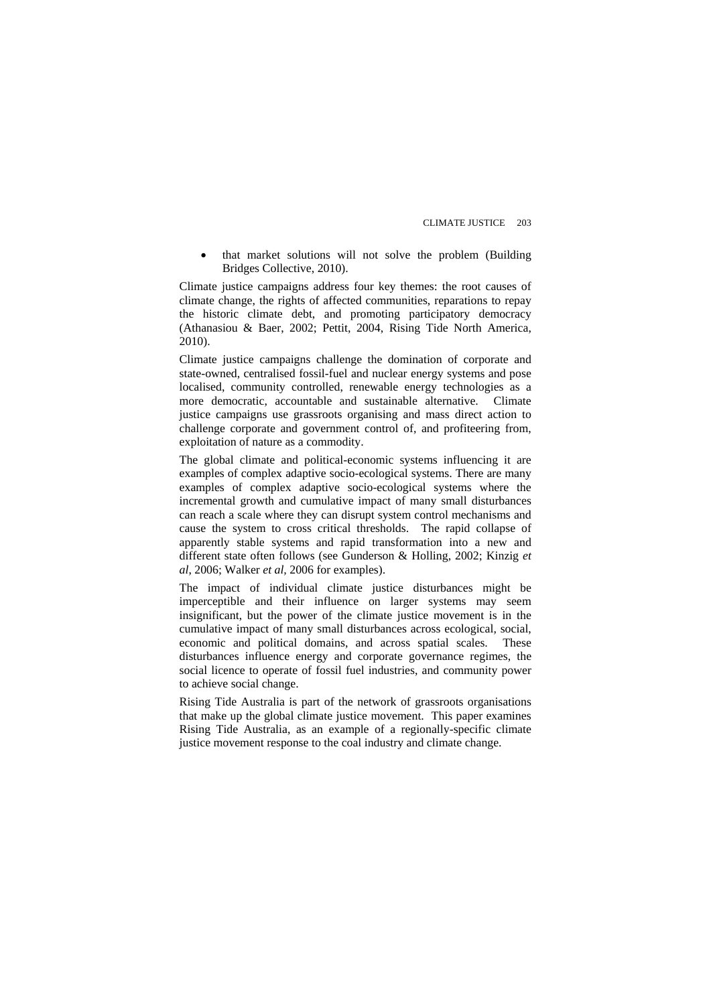• that market solutions will not solve the problem (Building Bridges Collective, 2010).

Climate justice campaigns address four key themes: the root causes of climate change, the rights of affected communities, reparations to repay the historic climate debt, and promoting participatory democracy (Athanasiou & Baer, 2002; Pettit, 2004, Rising Tide North America, 2010).

Climate justice campaigns challenge the domination of corporate and state-owned, centralised fossil-fuel and nuclear energy systems and pose localised, community controlled, renewable energy technologies as a more democratic, accountable and sustainable alternative.Climate justice campaigns use grassroots organising and mass direct action to challenge corporate and government control of, and profiteering from, exploitation of nature as a commodity.

The global climate and political-economic systems influencing it are examples of complex adaptive socio-ecological systems. There are many examples of complex adaptive socio-ecological systems where the incremental growth and cumulative impact of many small disturbances can reach a scale where they can disrupt system control mechanisms and cause the system to cross critical thresholds. The rapid collapse of apparently stable systems and rapid transformation into a new and different state often follows (see Gunderson & Holling, 2002; Kinzig *et al*, 2006; Walker *et al,* 2006 for examples).

The impact of individual climate justice disturbances might be imperceptible and their influence on larger systems may seem insignificant, but the power of the climate justice movement is in the cumulative impact of many small disturbances across ecological, social, economic and political domains, and across spatial scales. These disturbances influence energy and corporate governance regimes, the social licence to operate of fossil fuel industries, and community power to achieve social change.

Rising Tide Australia is part of the network of grassroots organisations that make up the global climate justice movement. This paper examines Rising Tide Australia, as an example of a regionally-specific climate justice movement response to the coal industry and climate change.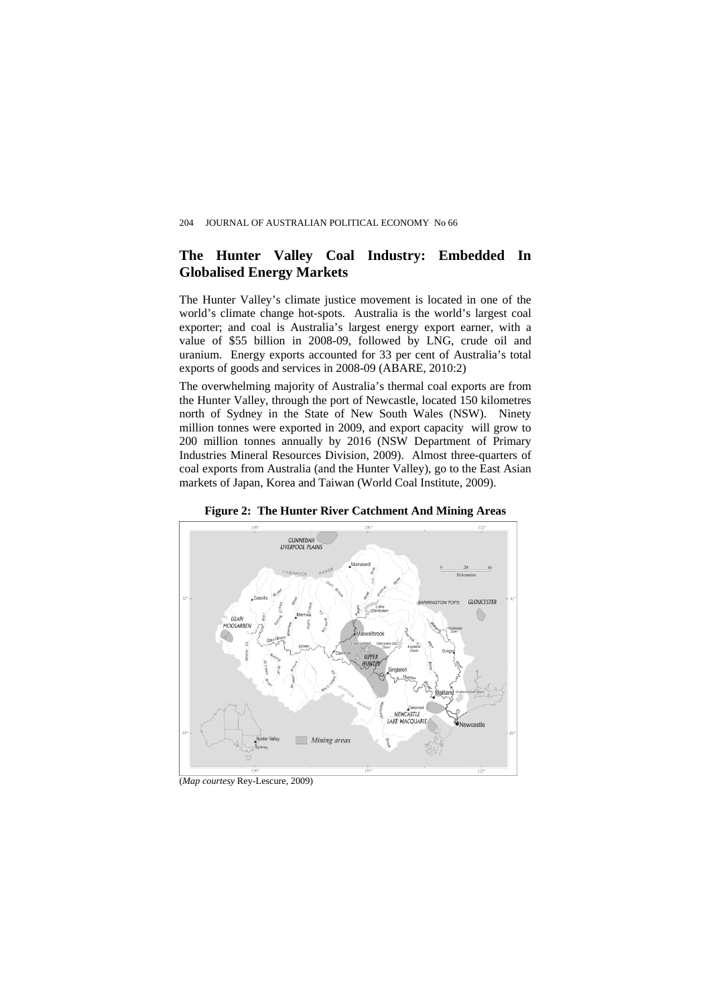### **The Hunter Valley Coal Industry: Embedded In Globalised Energy Markets**

The Hunter Valley's climate justice movement is located in one of the world's climate change hot-spots. Australia is the world's largest coal exporter; and coal is Australia's largest energy export earner, with a value of \$55 billion in 2008-09, followed by LNG, crude oil and uranium. Energy exports accounted for 33 per cent of Australia's total exports of goods and services in 2008-09 (ABARE, 2010:2)

The overwhelming majority of Australia's thermal coal exports are from the Hunter Valley, through the port of Newcastle, located 150 kilometres north of Sydney in the State of New South Wales (NSW). Ninety million tonnes were exported in 2009, and export capacity will grow to 200 million tonnes annually by 2016 (NSW Department of Primary Industries Mineral Resources Division, 2009). Almost three-quarters of coal exports from Australia (and the Hunter Valley), go to the East Asian markets of Japan, Korea and Taiwan (World Coal Institute, 2009).



**Figure 2: The Hunter River Catchment And Mining Areas** 

(*Map courtesy* Rey-Lescure, 2009)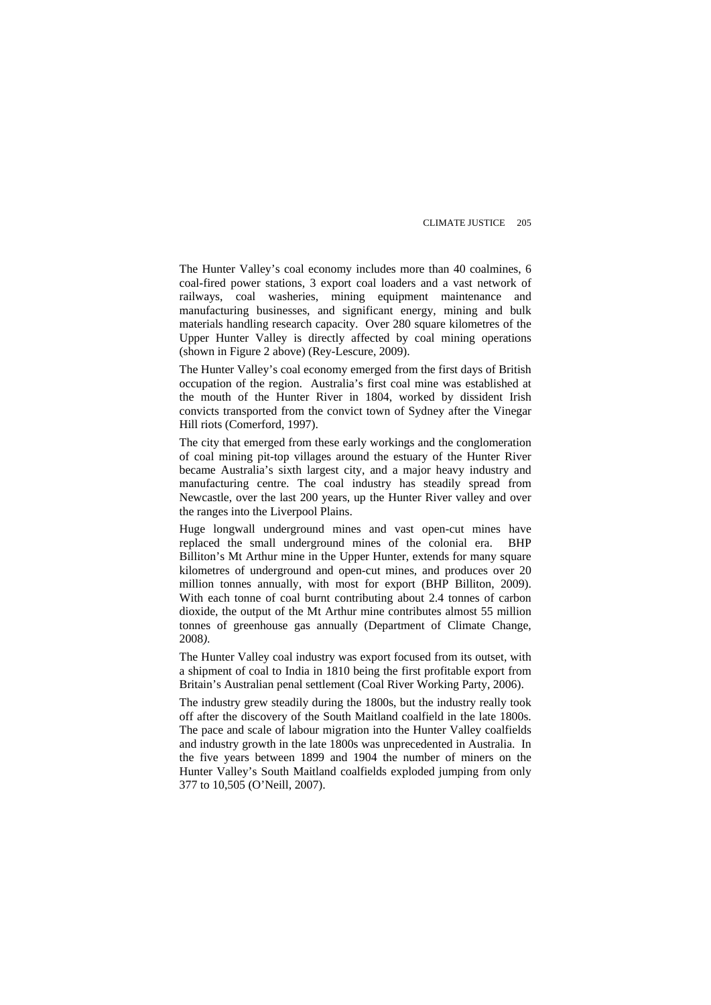The Hunter Valley's coal economy includes more than 40 coalmines, 6 coal-fired power stations, 3 export coal loaders and a vast network of railways, coal washeries, mining equipment maintenance and manufacturing businesses, and significant energy, mining and bulk materials handling research capacity. Over 280 square kilometres of the Upper Hunter Valley is directly affected by coal mining operations (shown in Figure 2 above) (Rey-Lescure, 2009).

The Hunter Valley's coal economy emerged from the first days of British occupation of the region. Australia's first coal mine was established at the mouth of the Hunter River in 1804, worked by dissident Irish convicts transported from the convict town of Sydney after the Vinegar Hill riots (Comerford, 1997).

The city that emerged from these early workings and the conglomeration of coal mining pit-top villages around the estuary of the Hunter River became Australia's sixth largest city, and a major heavy industry and manufacturing centre. The coal industry has steadily spread from Newcastle, over the last 200 years, up the Hunter River valley and over the ranges into the Liverpool Plains.

Huge longwall underground mines and vast open-cut mines have replaced the small underground mines of the colonial era. BHP Billiton's Mt Arthur mine in the Upper Hunter, extends for many square kilometres of underground and open-cut mines, and produces over 20 million tonnes annually, with most for export (BHP Billiton, 2009). With each tonne of coal burnt contributing about 2.4 tonnes of carbon dioxide, the output of the Mt Arthur mine contributes almost 55 million tonnes of greenhouse gas annually (Department of Climate Change, 2008*)*.

The Hunter Valley coal industry was export focused from its outset, with a shipment of coal to India in 1810 being the first profitable export from Britain's Australian penal settlement (Coal River Working Party, 2006).

The industry grew steadily during the 1800s, but the industry really took off after the discovery of the South Maitland coalfield in the late 1800s. The pace and scale of labour migration into the Hunter Valley coalfields and industry growth in the late 1800s was unprecedented in Australia. In the five years between 1899 and 1904 the number of miners on the Hunter Valley's South Maitland coalfields exploded jumping from only 377 to 10,505 (O'Neill, 2007).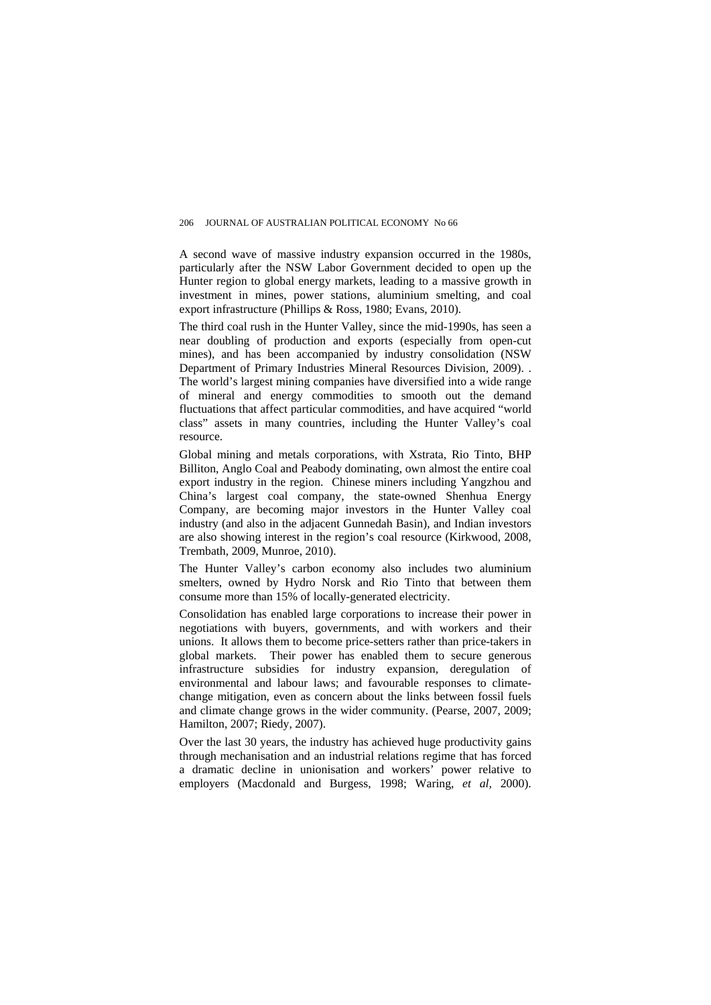A second wave of massive industry expansion occurred in the 1980s, particularly after the NSW Labor Government decided to open up the Hunter region to global energy markets, leading to a massive growth in investment in mines, power stations, aluminium smelting, and coal export infrastructure (Phillips & Ross, 1980; Evans, 2010).

The third coal rush in the Hunter Valley, since the mid-1990s, has seen a near doubling of production and exports (especially from open-cut mines), and has been accompanied by industry consolidation (NSW Department of Primary Industries Mineral Resources Division, 2009). . The world's largest mining companies have diversified into a wide range of mineral and energy commodities to smooth out the demand fluctuations that affect particular commodities, and have acquired "world class" assets in many countries, including the Hunter Valley's coal resource.

Global mining and metals corporations, with Xstrata, Rio Tinto, BHP Billiton, Anglo Coal and Peabody dominating, own almost the entire coal export industry in the region. Chinese miners including Yangzhou and China's largest coal company, the state-owned Shenhua Energy Company, are becoming major investors in the Hunter Valley coal industry (and also in the adjacent Gunnedah Basin), and Indian investors are also showing interest in the region's coal resource (Kirkwood, 2008, Trembath, 2009, Munroe, 2010).

The Hunter Valley's carbon economy also includes two aluminium smelters, owned by Hydro Norsk and Rio Tinto that between them consume more than 15% of locally-generated electricity.

Consolidation has enabled large corporations to increase their power in negotiations with buyers, governments, and with workers and their unions. It allows them to become price-setters rather than price-takers in global markets. Their power has enabled them to secure generous infrastructure subsidies for industry expansion, deregulation of environmental and labour laws; and favourable responses to climatechange mitigation, even as concern about the links between fossil fuels and climate change grows in the wider community. (Pearse, 2007, 2009; Hamilton, 2007; Riedy, 2007).

Over the last 30 years, the industry has achieved huge productivity gains through mechanisation and an industrial relations regime that has forced a dramatic decline in unionisation and workers' power relative to employers (Macdonald and Burgess, 1998; Waring, *et al,* 2000).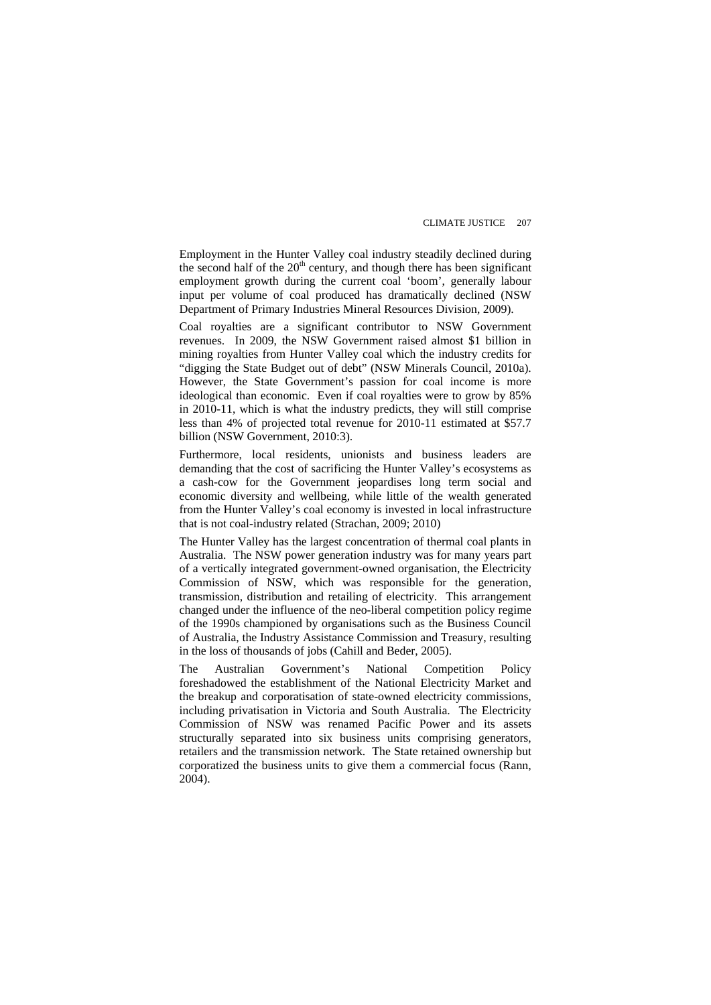Employment in the Hunter Valley coal industry steadily declined during the second half of the  $20<sup>th</sup>$  century, and though there has been significant employment growth during the current coal 'boom', generally labour input per volume of coal produced has dramatically declined (NSW Department of Primary Industries Mineral Resources Division, 2009).

Coal royalties are a significant contributor to NSW Government revenues. In 2009, the NSW Government raised almost \$1 billion in mining royalties from Hunter Valley coal which the industry credits for "digging the State Budget out of debt" (NSW Minerals Council, 2010a). However, the State Government's passion for coal income is more ideological than economic. Even if coal royalties were to grow by 85% in 2010-11, which is what the industry predicts, they will still comprise less than 4% of projected total revenue for 2010-11 estimated at \$57.7 billion (NSW Government, 2010:3).

Furthermore, local residents, unionists and business leaders are demanding that the cost of sacrificing the Hunter Valley's ecosystems as a cash-cow for the Government jeopardises long term social and economic diversity and wellbeing, while little of the wealth generated from the Hunter Valley's coal economy is invested in local infrastructure that is not coal-industry related (Strachan, 2009; 2010)

The Hunter Valley has the largest concentration of thermal coal plants in Australia. The NSW power generation industry was for many years part of a vertically integrated government-owned organisation, the Electricity Commission of NSW, which was responsible for the generation, transmission, distribution and retailing of electricity. This arrangement changed under the influence of the neo-liberal competition policy regime of the 1990s championed by organisations such as the Business Council of Australia, the Industry Assistance Commission and Treasury, resulting in the loss of thousands of jobs (Cahill and Beder, 2005).

The Australian Government's National Competition Policy foreshadowed the establishment of the National Electricity Market and the breakup and corporatisation of state-owned electricity commissions, including privatisation in Victoria and South Australia. The Electricity Commission of NSW was renamed Pacific Power and its assets structurally separated into six business units comprising generators, retailers and the transmission network. The State retained ownership but corporatized the business units to give them a commercial focus (Rann, 2004).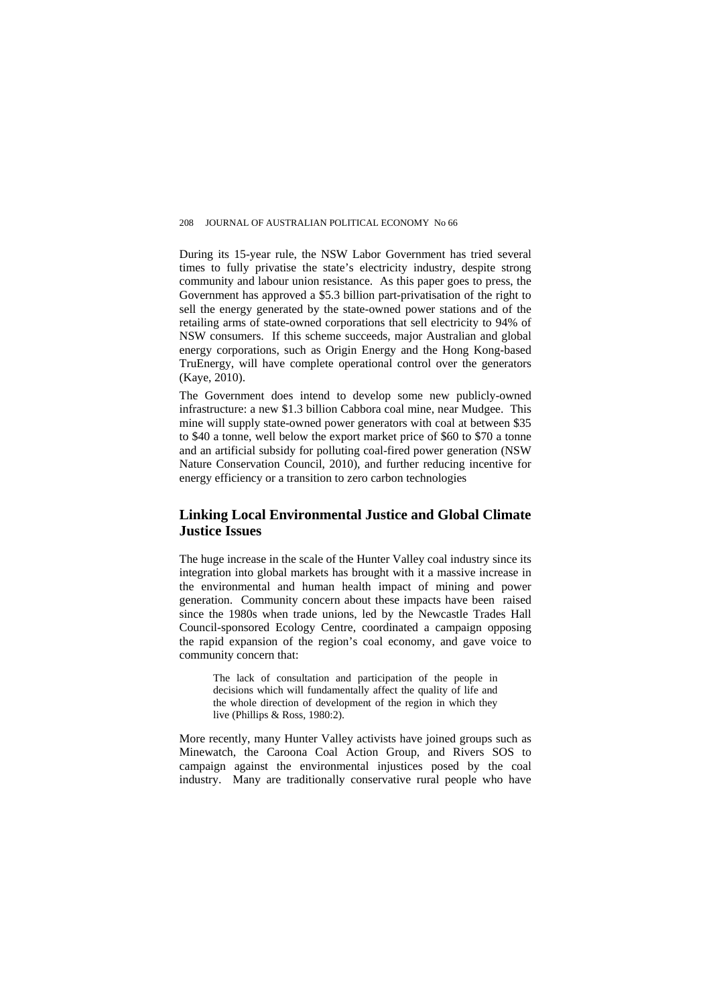During its 15-year rule, the NSW Labor Government has tried several times to fully privatise the state's electricity industry, despite strong community and labour union resistance. As this paper goes to press, the Government has approved a \$5.3 billion part-privatisation of the right to sell the energy generated by the state-owned power stations and of the retailing arms of state-owned corporations that sell electricity to 94% of NSW consumers. If this scheme succeeds, major Australian and global energy corporations, such as Origin Energy and the Hong Kong-based TruEnergy, will have complete operational control over the generators (Kaye, 2010).

The Government does intend to develop some new publicly-owned infrastructure: a new \$1.3 billion Cabbora coal mine, near Mudgee. This mine will supply state-owned power generators with coal at between \$35 to \$40 a tonne, well below the export market price of \$60 to \$70 a tonne and an artificial subsidy for polluting coal-fired power generation (NSW Nature Conservation Council, 2010), and further reducing incentive for energy efficiency or a transition to zero carbon technologies

### **Linking Local Environmental Justice and Global Climate Justice Issues**

The huge increase in the scale of the Hunter Valley coal industry since its integration into global markets has brought with it a massive increase in the environmental and human health impact of mining and power generation. Community concern about these impacts have been raised since the 1980s when trade unions, led by the Newcastle Trades Hall Council-sponsored Ecology Centre, coordinated a campaign opposing the rapid expansion of the region's coal economy, and gave voice to community concern that:

The lack of consultation and participation of the people in decisions which will fundamentally affect the quality of life and the whole direction of development of the region in which they live (Phillips & Ross, 1980:2).

More recently, many Hunter Valley activists have joined groups such as Minewatch, the Caroona Coal Action Group, and Rivers SOS to campaign against the environmental injustices posed by the coal industry. Many are traditionally conservative rural people who have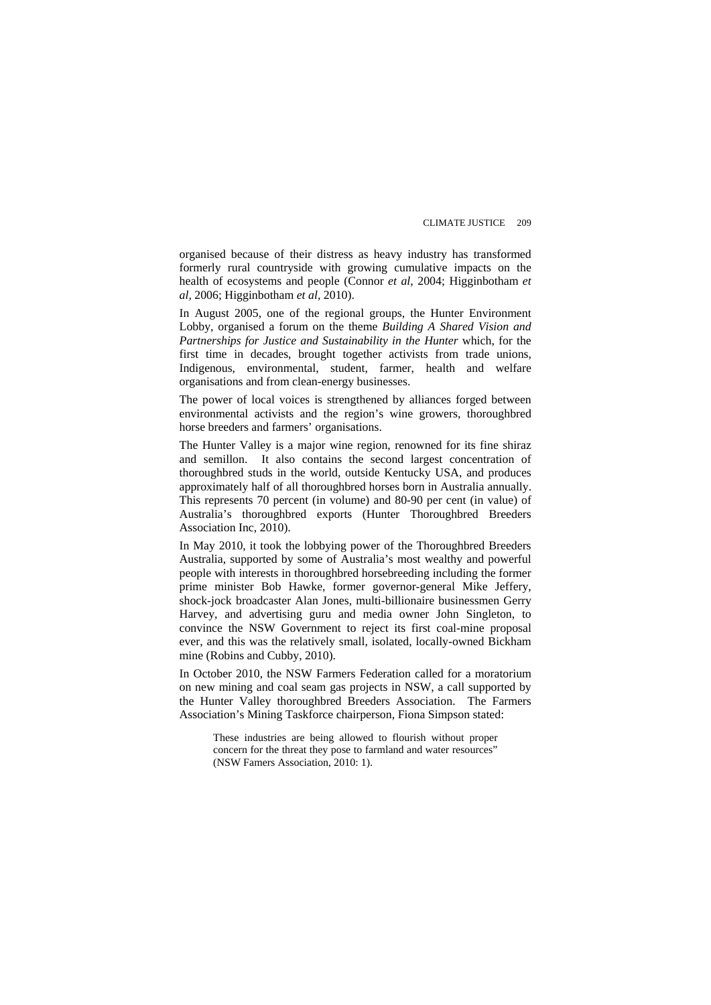organised because of their distress as heavy industry has transformed formerly rural countryside with growing cumulative impacts on the health of ecosystems and people (Connor *et al*, 2004; Higginbotham *et al,* 2006; Higginbotham *et al,* 2010).

In August 2005, one of the regional groups, the Hunter Environment Lobby, organised a forum on the theme *Building A Shared Vision and Partnerships for Justice and Sustainability in the Hunter* which, for the first time in decades, brought together activists from trade unions, Indigenous, environmental, student, farmer, health and welfare organisations and from clean-energy businesses.

The power of local voices is strengthened by alliances forged between environmental activists and the region's wine growers, thoroughbred horse breeders and farmers' organisations.

The Hunter Valley is a major wine region, renowned for its fine shiraz and semillon. It also contains the second largest concentration of thoroughbred studs in the world, outside Kentucky USA, and produces approximately half of all thoroughbred horses born in Australia annually. This represents 70 percent (in volume) and 80-90 per cent (in value) of Australia's thoroughbred exports (Hunter Thoroughbred Breeders Association Inc, 2010).

In May 2010, it took the lobbying power of the Thoroughbred Breeders Australia, supported by some of Australia's most wealthy and powerful people with interests in thoroughbred horsebreeding including the former prime minister Bob Hawke, former governor-general Mike Jeffery, shock-jock broadcaster Alan Jones, multi-billionaire businessmen Gerry Harvey, and advertising guru and media owner John Singleton, to convince the NSW Government to reject its first coal-mine proposal ever, and this was the relatively small, isolated, locally-owned Bickham mine (Robins and Cubby, 2010).

In October 2010, the NSW Farmers Federation called for a moratorium on new mining and coal seam gas projects in NSW, a call supported by the Hunter Valley thoroughbred Breeders Association. The Farmers Association's Mining Taskforce chairperson, Fiona Simpson stated:

These industries are being allowed to flourish without proper concern for the threat they pose to farmland and water resources" (NSW Famers Association, 2010: 1).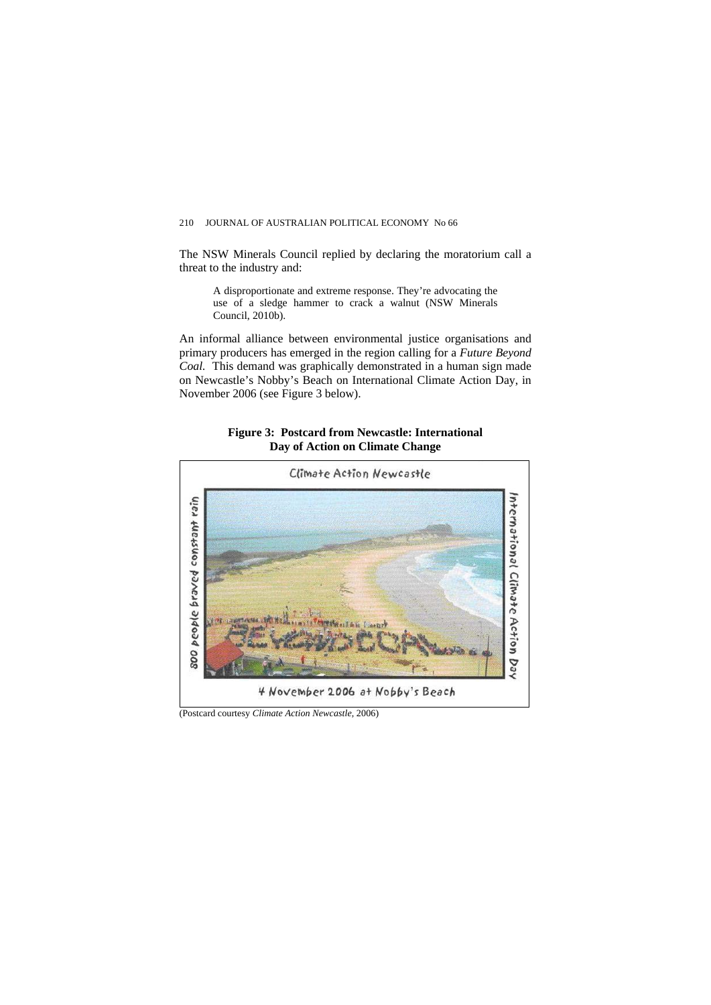The NSW Minerals Council replied by declaring the moratorium call a threat to the industry and:

A disproportionate and extreme response. They're advocating the use of a sledge hammer to crack a walnut (NSW Minerals Council, 2010b).

An informal alliance between environmental justice organisations and primary producers has emerged in the region calling for a *Future Beyond Coal.* This demand was graphically demonstrated in a human sign made on Newcastle's Nobby's Beach on International Climate Action Day, in November 2006 (see Figure 3 below).

#### **Figure 3: Postcard from Newcastle: International Day of Action on Climate Change**



(Postcard courtesy *Climate Action Newcastle*, 2006)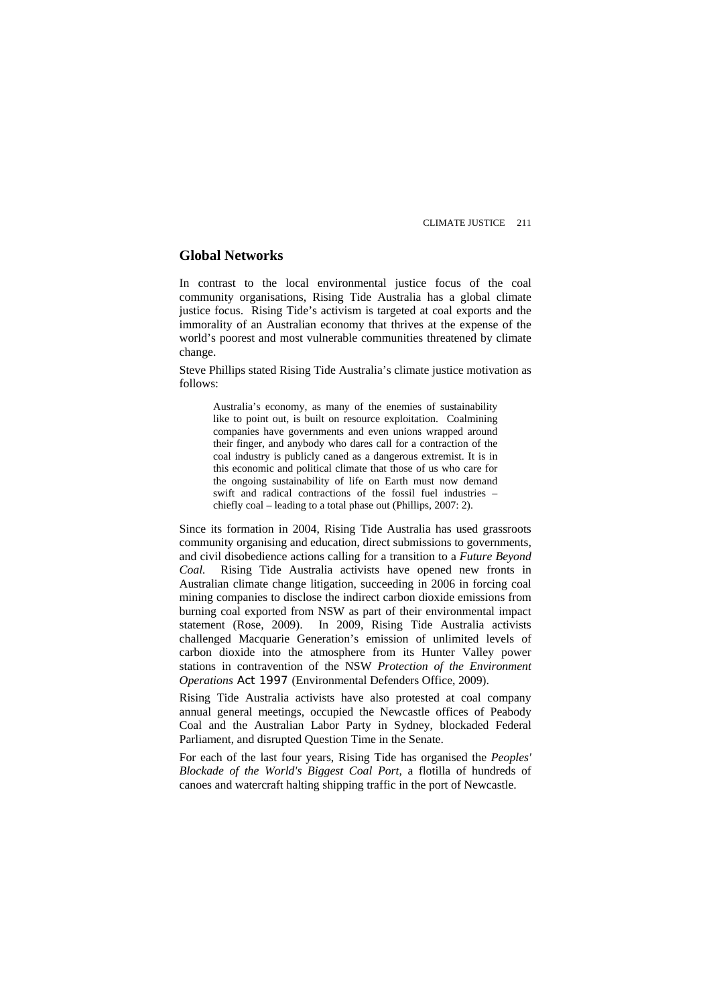### **Global Networks**

In contrast to the local environmental justice focus of the coal community organisations, Rising Tide Australia has a global climate justice focus. Rising Tide's activism is targeted at coal exports and the immorality of an Australian economy that thrives at the expense of the world's poorest and most vulnerable communities threatened by climate change.

Steve Phillips stated Rising Tide Australia's climate justice motivation as follows:

Australia's economy, as many of the enemies of sustainability like to point out, is built on resource exploitation. Coalmining companies have governments and even unions wrapped around their finger, and anybody who dares call for a contraction of the coal industry is publicly caned as a dangerous extremist. It is in this economic and political climate that those of us who care for the ongoing sustainability of life on Earth must now demand swift and radical contractions of the fossil fuel industries – chiefly coal – leading to a total phase out (Phillips, 2007: 2).

Since its formation in 2004, Rising Tide Australia has used grassroots community organising and education, direct submissions to governments, and civil disobedience actions calling for a transition to a *Future Beyond Coal.* Rising Tide Australia activists have opened new fronts in Australian climate change litigation, succeeding in 2006 in forcing coal mining companies to disclose the indirect carbon dioxide emissions from burning coal exported from NSW as part of their environmental impact statement (Rose, 2009). In 2009, Rising Tide Australia activists challenged Macquarie Generation's emission of unlimited levels of carbon dioxide into the atmosphere from its Hunter Valley power stations in contravention of the NSW *Protection of the Environment Operations Act 1997* (Environmental Defenders Office, 2009).

Rising Tide Australia activists have also protested at coal company annual general meetings, occupied the Newcastle offices of Peabody Coal and the Australian Labor Party in Sydney, blockaded Federal Parliament, and disrupted Question Time in the Senate.

For each of the last four years, Rising Tide has organised the *[Peoples'](http://www.risingtide.org.au/peoplesblockade)  [Blockade of the World's Biggest Coal Port](http://www.risingtide.org.au/peoplesblockade)*, a flotilla of hundreds of canoes and watercraft halting shipping traffic in the port of Newcastle.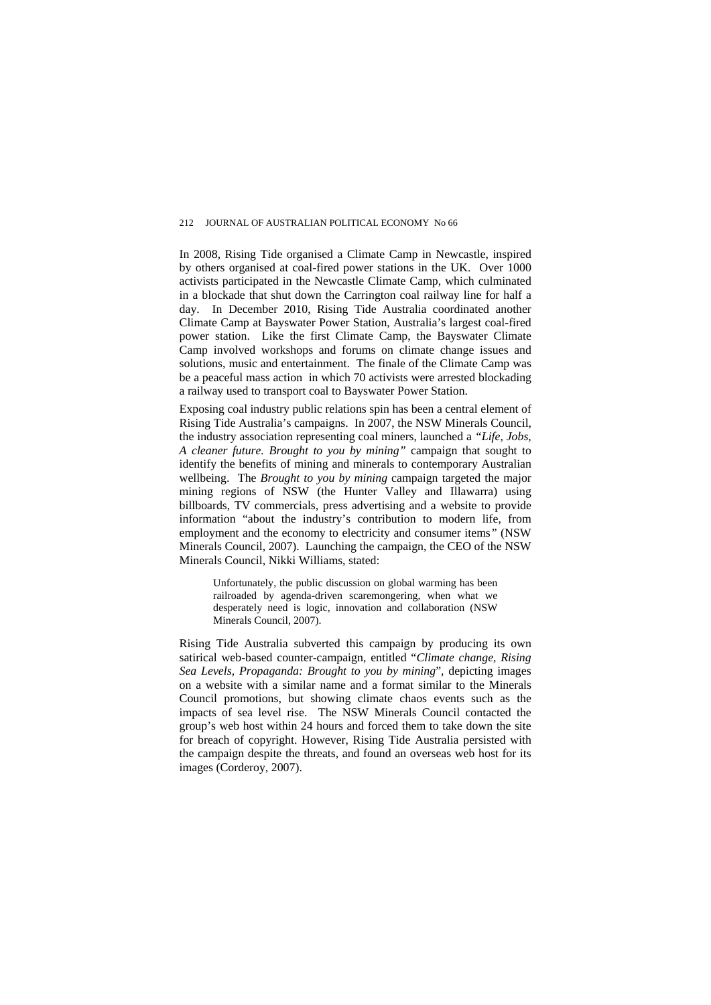In 2008, Rising Tide organised a Climate Camp in Newcastle, inspired by others organised at coal-fired power stations in the UK. Over 1000 activists participated in the Newcastle Climate Camp, which culminated in a blockade that shut down the Carrington coal railway line for half a day. In December 2010, Rising Tide Australia coordinated another Climate Camp at Bayswater Power Station, Australia's largest coal-fired power station. Like the first Climate Camp, the Bayswater Climate Camp involved workshops and forums on climate change issues and solutions, music and entertainment. The finale of the Climate Camp was be a peaceful mass action in which 70 activists were arrested blockading a railway used to transport coal to [Bayswater Power Station.](http://www.climatecamp.org.au/why-target-bayswater-power-station)

Exposing coal industry public relations spin has been a central element of Rising Tide Australia's campaigns. In 2007, the NSW Minerals Council, the industry association representing coal miners, launched a *"Life, Jobs, A cleaner future. Brought to you by mining"* campaign that sought to identify the benefits of mining and minerals to contemporary Australian wellbeing. The *Brought to you by mining* campaign targeted the major mining regions of NSW (the Hunter Valley and Illawarra) using billboards, TV commercials, press advertising and a website to provide information "about the industry's contribution to modern life, from employment and the economy to electricity and consumer items*"* (NSW Minerals Council, 2007). Launching the campaign, the CEO of the NSW Minerals Council, Nikki Williams, stated:

Unfortunately, the public discussion on global warming has been railroaded by agenda-driven scaremongering, when what we desperately need is logic, innovation and collaboration (NSW Minerals Council, 2007).

Rising Tide Australia subverted this campaign by producing its own satirical web-based counter-campaign, entitled "*Climate change, Rising Sea Levels, Propaganda: Brought to you by mining*", depicting images on a website with a similar name and a format similar to the Minerals Council promotions, but showing climate chaos events such as the impacts of sea level rise. The NSW Minerals Council contacted the group's web host within 24 hours and forced them to take down the site for breach of copyright. However, Rising Tide Australia persisted with the campaign despite the threats, and found an overseas web host for its images (Corderoy, 2007).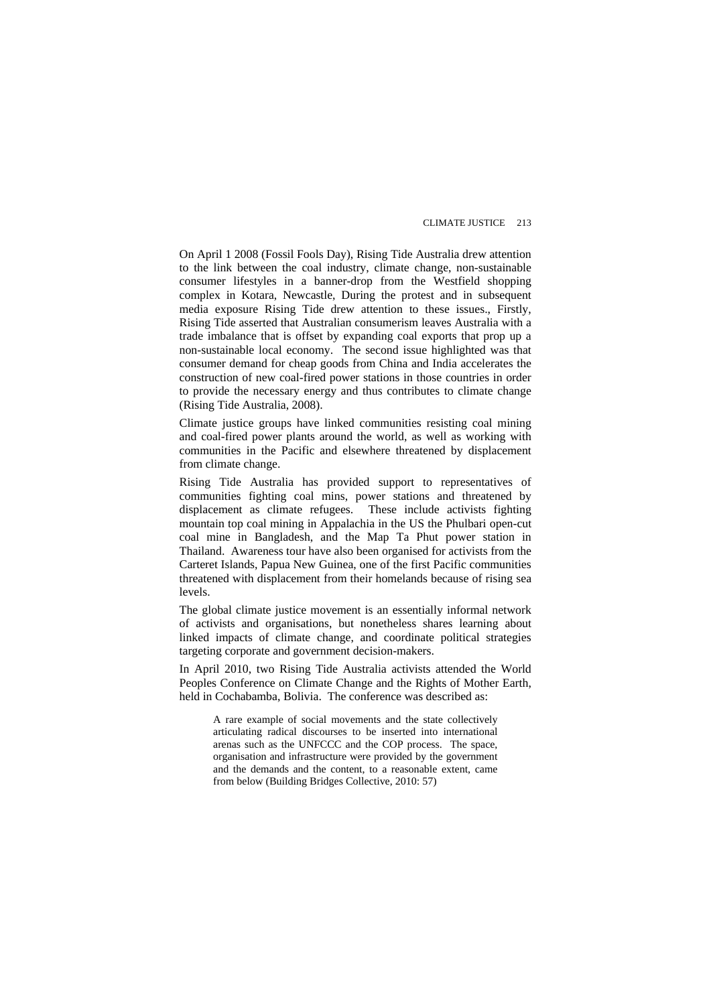On April 1 2008 (Fossil Fools Day), Rising Tide Australia drew attention to the link between the coal industry, climate change, non-sustainable consumer lifestyles in a banner-drop from the Westfield shopping complex in Kotara, Newcastle, During the protest and in subsequent media exposure Rising Tide drew attention to these issues., Firstly, Rising Tide asserted that Australian consumerism leaves Australia with a trade imbalance that is offset by expanding coal exports that prop up a non-sustainable local economy. The second issue highlighted was that consumer demand for cheap goods from China and India accelerates the construction of new coal-fired power stations in those countries in order to provide the necessary energy and thus contributes to climate change (Rising Tide Australia, 2008).

Climate justice groups have linked communities resisting coal mining and coal-fired power plants around the world, as well as working with communities in the Pacific and elsewhere threatened by displacement from climate change.

Rising Tide Australia has provided support to representatives of communities fighting coal mins, power stations and threatened by displacement as climate refugees. These include activists fighting mountain top coal mining in Appalachia in the US the Phulbari open-cut coal mine in Bangladesh, and the Map Ta Phut power station in Thailand. Awareness tour have also been organised for activists from the Carteret Islands, Papua New Guinea, one of the first Pacific communities threatened with displacement from their homelands because of rising sea levels.

The global climate justice movement is an essentially informal network of activists and organisations, but nonetheless shares learning about linked impacts of climate change, and coordinate political strategies targeting corporate and government decision-makers.

In April 2010, two Rising Tide Australia activists attended the World Peoples Conference on Climate Change and the Rights of Mother Earth, held in Cochabamba, Bolivia. The conference was described as:

A rare example of social movements and the state collectively articulating radical discourses to be inserted into international arenas such as the UNFCCC and the COP process. The space, organisation and infrastructure were provided by the government and the demands and the content, to a reasonable extent, came from below (Building Bridges Collective, 2010: 57)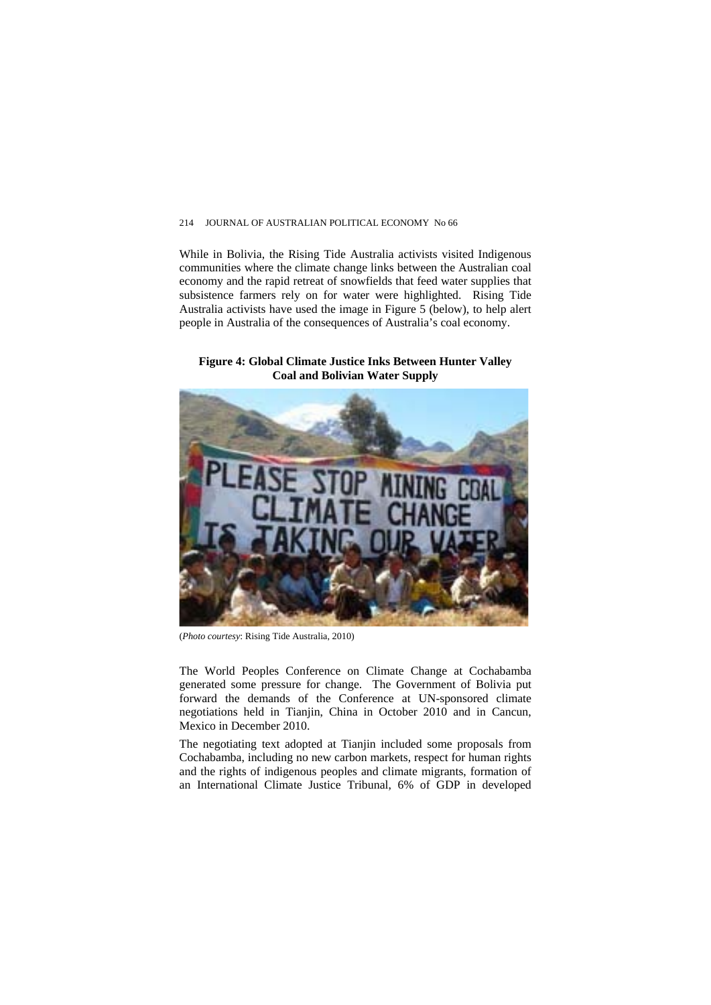#### 214 JOURNAL OF AUSTRALIAN POLITICAL ECONOMY No 66

While in Bolivia, the Rising Tide Australia activists visited Indigenous communities where the climate change links between the Australian coal economy and the rapid retreat of snowfields that feed water supplies that subsistence farmers rely on for water were highlighted. Rising Tide Australia activists have used the image in Figure 5 (below), to help alert people in Australia of the consequences of Australia's coal economy.

#### **Figure 4: Global Climate Justice Inks Between Hunter Valley Coal and Bolivian Water Supply**



(*Photo courtesy*: Rising Tide Australia, 2010)

The World Peoples Conference on Climate Change at Cochabamba generated some pressure for change. The Government of Bolivia put forward the demands of the Conference at UN-sponsored climate negotiations held in Tianjin, China in October 2010 and in Cancun, Mexico in December 2010.

The negotiating text adopted at Tianjin included some proposals from Cochabamba, including no new carbon markets, respect for human rights and the rights of indigenous peoples and climate migrants, formation of an International Climate Justice Tribunal, 6% of GDP in developed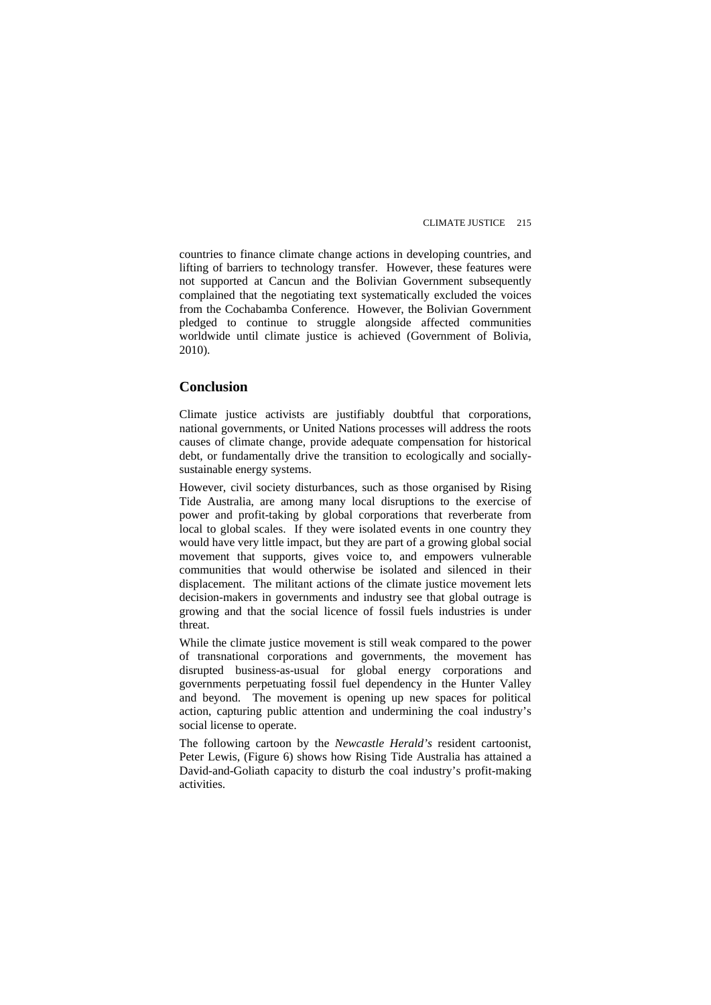countries to finance climate change actions in developing countries, and lifting of barriers to technology transfer. However, these features were not supported at Cancun and the Bolivian Government subsequently complained that the negotiating text systematically excluded the voices from the Cochabamba Conference. However, the Bolivian Government pledged to continue to struggle alongside affected communities worldwide until climate justice is achieved (Government of Bolivia, 2010).

#### **Conclusion**

Climate justice activists are justifiably doubtful that corporations, national governments, or United Nations processes will address the roots causes of climate change, provide adequate compensation for historical debt, or fundamentally drive the transition to ecologically and sociallysustainable energy systems.

However, civil society disturbances, such as those organised by Rising Tide Australia, are among many local disruptions to the exercise of power and profit-taking by global corporations that reverberate from local to global scales. If they were isolated events in one country they would have very little impact, but they are part of a growing global social movement that supports, gives voice to, and empowers vulnerable communities that would otherwise be isolated and silenced in their displacement. The militant actions of the climate justice movement lets decision-makers in governments and industry see that global outrage is growing and that the social licence of fossil fuels industries is under threat.

While the climate justice movement is still weak compared to the power of transnational corporations and governments, the movement has disrupted business-as-usual for global energy corporations and governments perpetuating fossil fuel dependency in the Hunter Valley and beyond. The movement is opening up new spaces for political action, capturing public attention and undermining the coal industry's social license to operate.

The following cartoon by the Newcastle Herald's resident cartoonist, activities. Peter Lewis, (Figure 6) shows how Rising Tide Australia has attained a David-and-Goliath capacity to disturb the coal industry's profit-making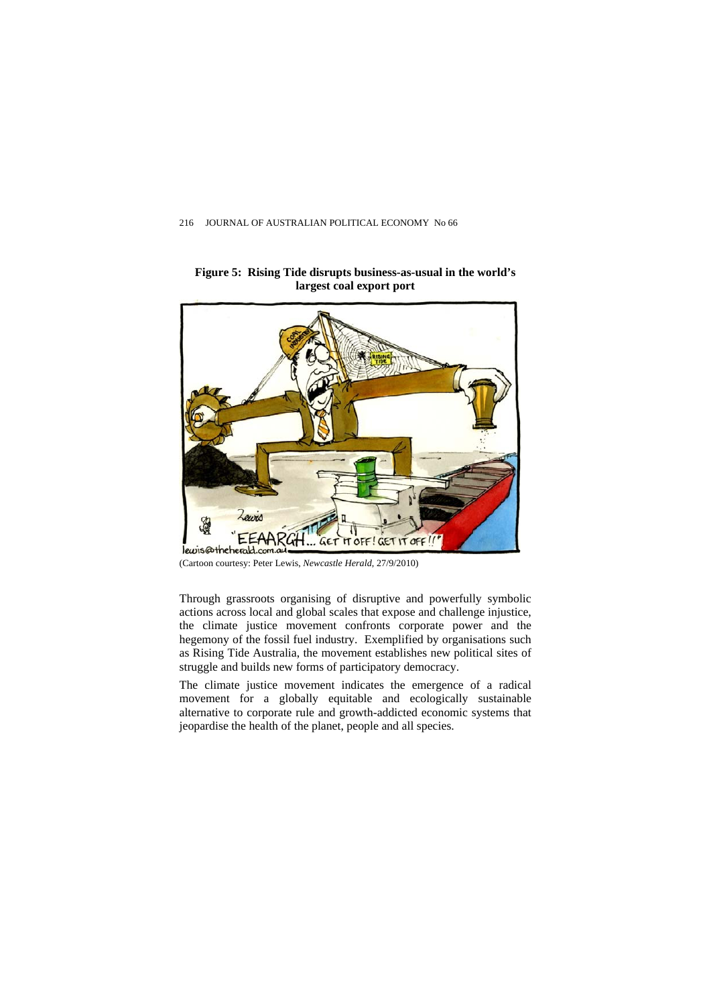

**Figure 5: Rising Tide disrupts business-as-usual in the world's largest coal export port** 

(Cartoon courtesy: Peter Lewis, *Newcastle Herald*, 27/9/2010)

Through grassroots organising of disruptive and powerfully symbolic actions across local and global scales that expose and challenge injustice, the climate justice movement confronts corporate power and the hegemony of the fossil fuel industry. Exemplified by organisations such as Rising Tide Australia, the movement establishes new political sites of struggle and builds new forms of participatory democracy.

movement for a globally equitable and ecologically sustainable The climate justice movement indicates the emergence of a radical alternative to corporate rule and growth-addicted economic systems that jeopardise the health of the planet, people and all species.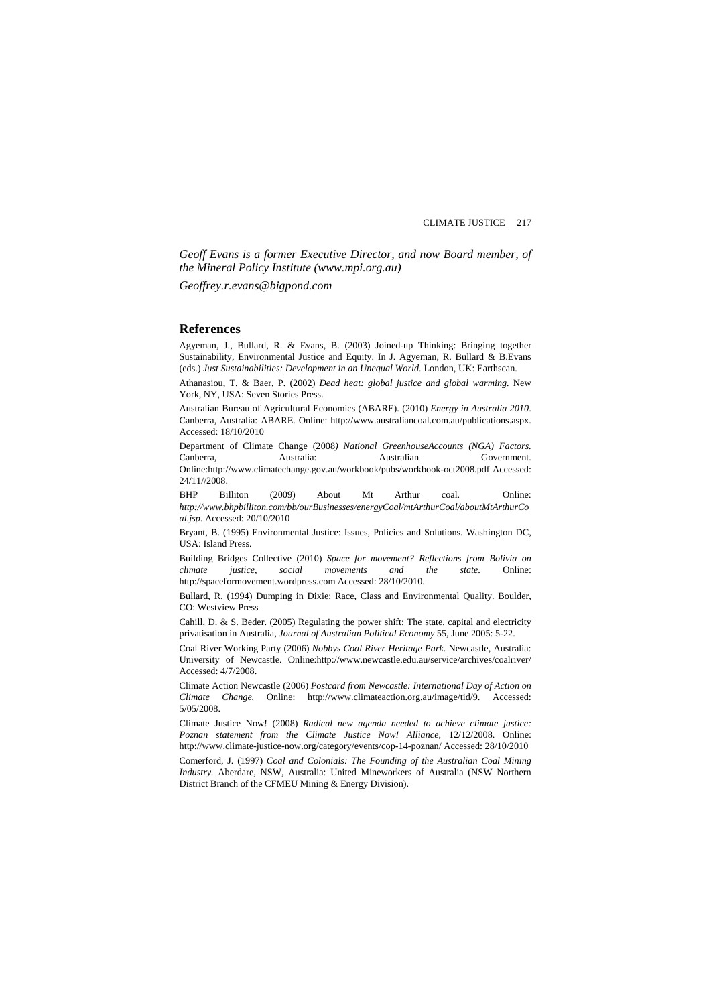*Geoff Evans is a former Executive Director, and now Board member, of the Mineral Policy Institute [\(www.mpi.org.au\)](http://www.mpi.org.au/)* 

*Geoffrey.r.evans@bigpond.com*

#### **References**

Agyeman, J., Bullard, R. & Evans, B. (2003) Joined-up Thinking: Bringing together Sustainability, Environmental Justice and Equity. In J. Agyeman, R. Bullard & B.Evans (eds.) *Just Sustainabilities: Development in an Unequal World.* London, UK: Earthscan.

Athanasiou, T. & Baer, P. (2002) *Dead heat: global justice and global warming.* New York, NY, USA: Seven Stories Press.

Australian Bureau of Agricultural Economics (ABARE). (2010) *Energy in Australia 2010*. Canberra, Australia: ABARE. Online: http://www.australiancoal.com.au/publications.aspx. Accessed: 18/10/2010

Department of Climate Change (2008*) National GreenhouseAccounts (NGA) Factors.*  Canberra, Australia: Australian Government. Online:http://www.climatechange.gov.au/workbook/pubs/workbook-oct2008.pdf Accessed: 24/11//2008.

BHP Billiton (2009) About Mt Arthur coal. Online: *[http://www.bhpbilliton.com/bb/ourBusinesses/energyCoal/mtArthurCoal/aboutMtArthurCo](http://www.bhpbilliton.com/bb/ourBusinesses/energyCoal/mtArthurCoal/aboutMtArthurCoal.jsp) [al.jsp](http://www.bhpbilliton.com/bb/ourBusinesses/energyCoal/mtArthurCoal/aboutMtArthurCoal.jsp)*. Accessed: 20/10/2010

Bryant, B. (1995) Environmental Justice: Issues, Policies and Solutions. Washington DC, USA: Island Press.

Building Bridges Collective (2010) *Space for movement? Reflections from Bolivia on climate justice, social movements and the state*. Online: [http://spaceformovement.wordpress.com](http://spaceformovement.wordpress.com/) Accessed: 28/10/2010.

Bullard, R. (1994) Dumping in Dixie: Race, Class and Environmental Quality. Boulder, CO: Westview Press

Cahill, D. & S. Beder.  $(2005)$  Regulating the power shift: The state, capital and electricity privatisation in Australia, *Journal of Australian Political Economy* 55, June 2005: 5-22.

Coal River Working Party (2006) *Nobbys Coal River Heritage Park*. Newcastle, Australia: University of Newcastle. Online:http://www.newcastle.edu.au/service/archives/coalriver/ Accessed: 4/7/2008.

Climate Action Newcastle (2006) *Postcard from Newcastle: International Day of Action on Climate Change.* Online: <http://www.climateaction.org.au/image/tid/9>. Accessed: 5/05/2008.

Climate Justice Now! (2008) *Radical new agenda needed to achieve climate justice: Poznan statement from the Climate Justice Now! Alliance*, 12/12/2008. Online: http://www.climate-justice-now.org/category/events/cop-14-poznan/ Accessed: 28/10/2010

District Branch of the CFMEU Mining & Energy Division). Comerford, J. (1997) *Coal and Colonials: The Founding of the Australian Coal Mining Industry.* Aberdare, NSW, Australia: United Mineworkers of Australia (NSW Northern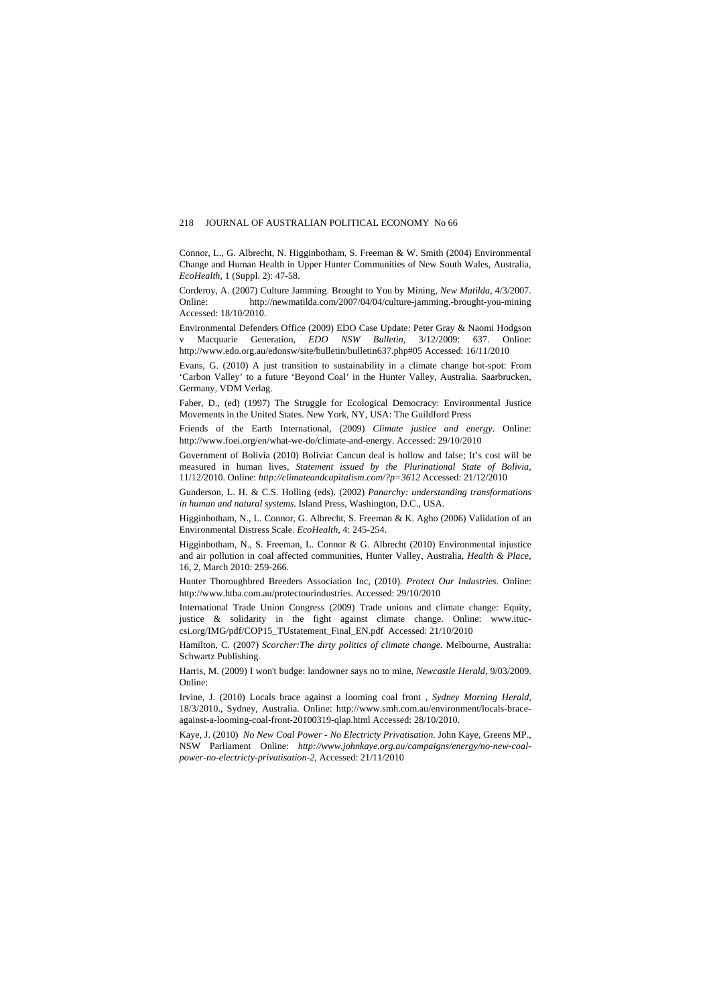Connor, L., G. Albrecht, N. Higginbotham, S. Freeman & W. Smith (2004) Environmental Change and Human Health in Upper Hunter Communities of New South Wales, Australia, *EcoHealth,* 1 (Suppl. 2): 47-58.

Corderoy, A. (2007) Culture Jamming. Brought to You by Mining*, New Matilda,* 4/3/2007. Online: http://newmatilda.com/2007/04/04/culture-jamming.-brought-you-mining Accessed: 18/10/2010.

Environmental Defenders Office (2009) EDO Case Update: Peter Gray & Naomi Hodgson v Macquarie Generation, *EDO NSW Bulletin*, 3/12/2009: 637. Online: http://www.edo.org.au/edonsw/site/bulletin/bulletin637.php#05 Accessed: 16/11/2010

Evans, G. (2010) A just transition to sustainability in a climate change hot-spot: From 'Carbon Valley' to a future 'Beyond Coal' in the Hunter Valley, Australia. Saarbrucken, Germany, VDM Verlag.

Faber, D., (ed) (1997) The Struggle for Ecological Democracy: Environmental Justice Movements in the United States. New York, NY, USA: The Guildford Press

Friends of the Earth International, (2009) Climate justice and energy. Online: http://www.foei.org/en/what-we-do/climate-and-energy. Accessed: 29/10/2010

Government of Bolivia (2010) Bolivia: Cancun deal is hollow and false; It's cost will be measured in human lives, *Statement issued by the Plurinational State of Bolivia,*  11/12/2010. Online: *[http://climateandcapitalism.com/?p=3612](http://www.foei.org/en/what-we-do/climate-and-energy)* Accessed: 21/12/2010

Gunderson, L. H. & C.S. Holling (eds). (2002) *Panarchy: understanding transformations in human and natural systems.* Island Press, Washington, D.C., USA.

Higginbotham, N., L. Connor, G. Albrecht, S. Freeman & K. Agho (2006) Validation of an Environmental Distress Scale. *EcoHealth,* 4: 245-254.

Higginbotham, N., S. Freeman, L. Connor & G. Albrecht (2010) Environmental injustice and air pollution in coal affected communities, Hunter Valley, Australia, *Health & Place*, 16, 2, March 2010: 259-266.

Hunter Thoroughbred Breeders Association Inc, (2010). *Protect Our Industries*. Online: http://www.htba.com.au/protectourindustries. Accessed: 29/10/2010

International Trade Union Congress (2009) Trade unions and climate change: Equity, [csi.org/IMG/pdf/COP15\\_TUstatement\\_Final\\_EN.pdf](http://www.htba.com.au/protectourindustries) Accessed: 21/10/2010 justice & solidarity in the fight against climate change. Online: [www.ituc-](http://www.htba.com.au/protectourindustries)

Hamilton, C. (2007) *Scorcher:The dirty politics of climate change.* Melbourne, Australia: Schwartz Publishing.

Harris, M. (2009) I won't budge: landowner says no to mine, *Newcastle Herald*, 9/03/2009. Online:

Irvine, J. (2010) Locals brace against a looming coal front , Sydney Morning Herald, against-a-looming-coal-front-20100319-qlap.html Accessed: 28/10/2010. 18/3/2010., Sydney, Australia. Online: http://www.smh.com.au/environment/locals-brace-

Kaye, J. (2010) *No New Coal Power - No Electricty Privatisation.* John Kaye, Greens MP., NSW Parliament Online: *[http://www.johnkaye.org.au/campaigns/energy/no-new-coal](http://www.smh.com.au/environment/locals-brace-against-a-looming-coal-front-20100319-qlap.html)[power-no-electricty-privatisation-2](http://www.smh.com.au/environment/locals-brace-against-a-looming-coal-front-20100319-qlap.html)*, Accessed: 21/11/2010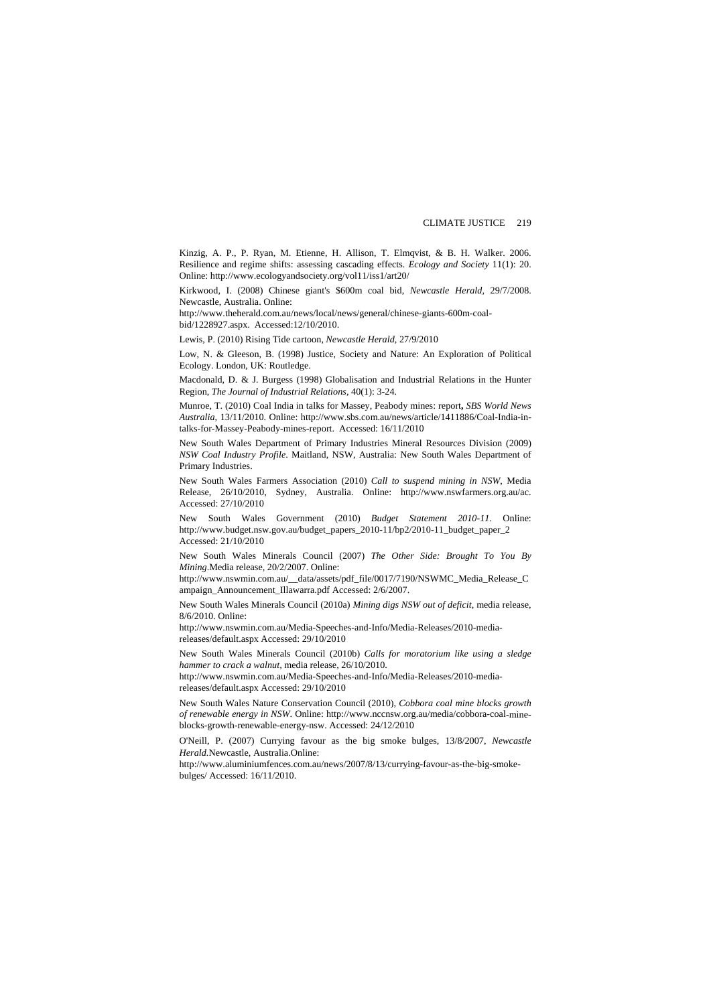Kinzig, A. P., P. Ryan, M. Etienne, H. Allison, T. Elmqvist, & B. H. Walker. 2006. Resilience and regime shifts: assessing cascading effects. *Ecology and Society* 11(1): 20. Online: [http://www.ecologyandsociety.org/vol11/iss1/art20/](http://www.johnkaye.org.au/campaigns/energy/no-new-coal-power-no-electricty-privatisation-2)

Kirkwood, I. (2008) Chinese giant's \$600m coal bid, *Newcastle Herald,* 29/7/2008. Newcastle, Australia. Online:

[http://www.theherald.com.au/news/local/news/general/chines](http://www.ecologyandsociety.org/vol11/iss1/art20/)e-giants-600m-coalbid/1228927.aspx. Accessed:12/10/2010.

Lewis, P. (2010) Rising Tide cartoon, Newcastle Herald, 27/9/2010

Low, N. & Gleeson, B. (1998) Justice, Society and Nature: An Exploration of Political Ecology. London, UK: Routledge.

Macdonald, D. & J. Burgess (1998) Globalisation and Industrial Relations in the Hunter Region, *The Journal of Industrial Relations,* 40(1): 3-24.

Munroe, T. (2010) Coal India in talks for Massey, Peabody mines: report, *SBS World News* talks-for-Massey-Peabody-mines-report. Accessed: 16/11/2010 *Australia*, 13/11/2010. Online: http://www.sbs.com.au/news/article/1411886/Coal-India-in-

New South Wales Department of Primary Industries Mineral Resources Division (2009) *NSW Coal Industry Profile*. Maitland, NSW, Australia: New South Wales Department of Primary Industries.

0 Accessed: 27/10/201 New South Wales Farmers Association (2010) *Call to suspend mining in NSW*, Media Release, 26/10/2010, Sydney, Australia. Online: http://www.nswfarmers.org.au/ac.

New South Wales Government (2010) *Budget Statement 2010-11*. Online: [http://www.budget.nsw.gov.au/budget\\_papers\\_2010-11/bp2/2010-11\\_budget\\_paper\\_2](http://www.nswfarmers.org.au/ac) Accessed: 21/10/2010

New South Wales Minerals Council (2007) *The Other Side: Brought To You By Mining*.Media release, 20/2/2007. Online:

http://www.nswmin.com.au/\_\_data/assets/pdf\_file/0017/7190/NSWMC\_Media\_Release\_C ampaign\_Announcement\_Illawarra.pdf Accessed: 2/6/2007.

New South Wales Minerals Council (2010a) Mining digs NSW out of deficit, media release, 8/6/2010. Online:

http://www.nswmin.com.au/Media-Speeches-and-Info/Media-Releases/2010-mediareleases/default.aspx Accessed: 29/10/2010

New South Wales Minerals Council (2010b) Calls for moratorium like using a sledge *hammer to crack a walnut,* media release, 26/10/2010.

[http://www.nswmin.com.au/Media-Speeches](http://www.nswmin.com.au/Media-Speeches-and-Info/Media-Releases/2010-media-releases/default.aspx)-and-Info/Media-Releases/2010-mediareleases/default.aspx Accessed: 29/10/2010

New South Wales Nature Conservation Council (2010), Cobbora coal mine blocks growth of renewable energy in NSW. Online: [http://www.nccnsw.org.au/media/cobbora-coal](http://www.nswmin.com.au/Media-Speeches-and-Info/Media-Releases/2010-media-releases/default.aspx)-mine[blocks-growth-renewable-energy-nsw](http://www.nswmin.com.au/Media-Speeches-and-Info/Media-Releases/2010-media-releases/default.aspx). Accessed: 24/12/2010

O'Neill, P. (2007) Currying favour as the big smoke bulges, 13/8/2007, *Newcastle Herald.*Newcastle, Australia.Online:

[http://www.aluminiumfences.com.au/news/2007/8/13/currying](http://www.nccnsw.org.au/media/cobbora-coal-mine-blocks-growth-renewable-energy-nsw)-favour-as-the-big-smokebulges/ Accessed: 16/11/2010.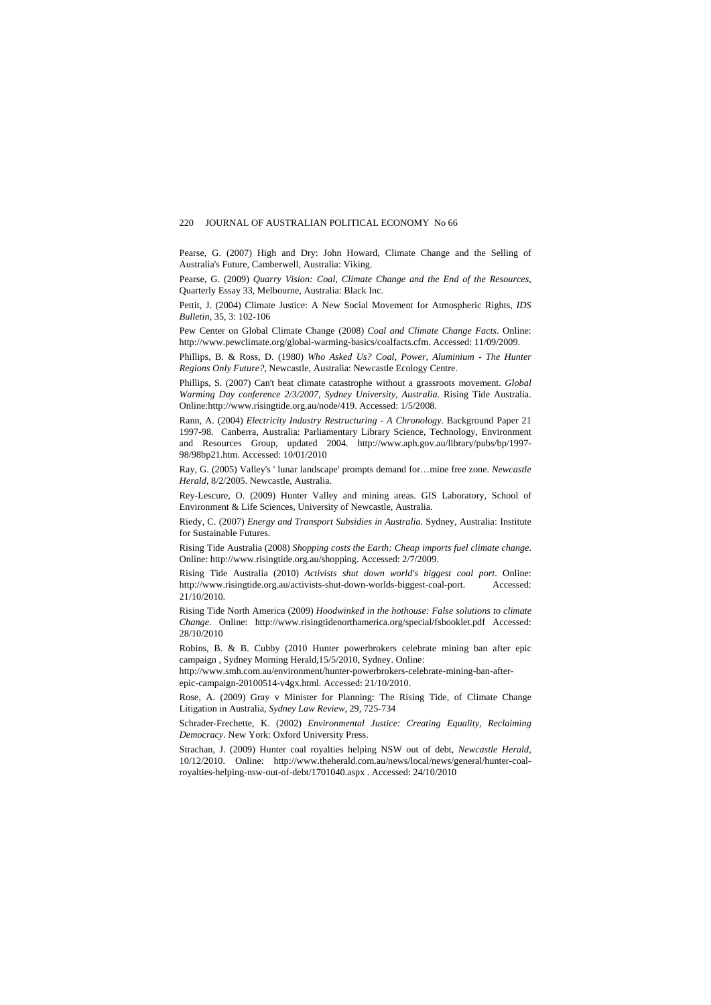Pearse, G. (2007) High and Dry: John Howard, Climate Change and the Selling of Australia's Future, Camberwell, Australia: Viking.

Pearse, G. (2009) *Quarry Vision: Coal, Climate Change and the End of the Resources*, Quarterly Essay 33, Melbourne, Australia: Black Inc.

Pettit, J. (2004) Climate Justice: A New Social Movement for Atmospheric Rights, *IDS Bulletin*, 35, 3: 102-106

http://www.pewclimate.org/global-warming-basics/coalfacts.cfm. Accessed: 11/09/2009. Pew Center on Global Climate Change (2008) *Coal and Climate Change Facts*. Online:

Regions Only Future?, Newcastle, Australia: Newcastle Ecology Centre. Phillips, B. & Ross, D. (1980) *Who Asked Us? Coal, Power, Aluminium - The Hunter* 

Warming Day conference 2/3/2007, Sydney University, Australia. Rising Tide Australia. Phillips, S. (2007) Can't beat climate catastrophe without a grassroots movement. *Global* Online:http://www.risingtide.org.au/node/419. Accessed: 1/5/2008.

Rann, A. (2004) *Electricity Industry Restructuring - A Chronology*. Background Paper 21 1997-98. Canberra, Australia: Parliamentary Library Science, Technology, Environment and Resources Group, updated 2004. http://www.aph.gov.au/library/pubs/bp/1997- 98/98bp21.htm. Accessed: 10/01/2010

Ray, G. (2005) Valley's ' lunar landscape' prompts demand for…mine free zone. *Newcastle Herald,* 8/2/2005. Newcastle, Australia.

Environment & Life Sciences, University of Newcastle, Australia. Rey-Lescure, O. (2009) Hunter Valley and mining areas. GIS Laboratory, School of

Riedy, C. (2007) *Energy and Transport Subsidies in Australia*. Sydney, Australia: Institute for Sustainable Futures.

Rising Tide Australia (2008) *Shopping costs the Earth: Cheap imports fuel climate change*. Online: http://www.risingtide.org.au/shopping. Accessed: 2/7/2009.

http://www.risingtide.org.au/activists-shut-down-worlds-biggest-coal-port. Accessed: Rising Tide Australia (2010) *Activists shut down world's biggest coal port*. Online: 21/10/2010.

*se solutions to climate*  Rising Tide North America (2009) *Hoodwinked in the hothouse: Fal Change.* Online: http://www.risingtidenorthamerica.org/special/fsbooklet.pdf Accessed: 28/10/2010

Robins, B. & B. Cubby (2010 Hunter powerbrokers celebrate mining ban after epic campaign , Sydney Morning Herald,15/5/2010, Sydney. Online:

[epic-campaig](http://www.risingtidenorthamerica.org/special/fsbooklet.pdf)n-20100514-v4gx.html. Accessed: 21/10/2010. [http://www.smh.com.au/environment/hunter-powerbrokers-celebrate-mining-ban-after-](http://www.risingtidenorthamerica.org/special/fsbooklet.pdf)

Rose, A. (2009) Gray v Minister for Planning: The Rising Tide, of Climate Change Litigation in Australia, *Sydney Law Review*, 29, 725-734

Schrader-Frechette, K. (2002) *Environmental Justice: Creating Equality, Reclaiming Democracy.* New York: Oxford University Press.

10/12/2010. Online: http://www.theherald.com.au/news/local/news/general/hunter-coal-Strachan, J. (2009) Hunter coal royalties helping NSW out of debt, *Newcastle Herald*, royalties-helping-nsw-out-of-debt/1701040.aspx . Accessed: 24/10/2010